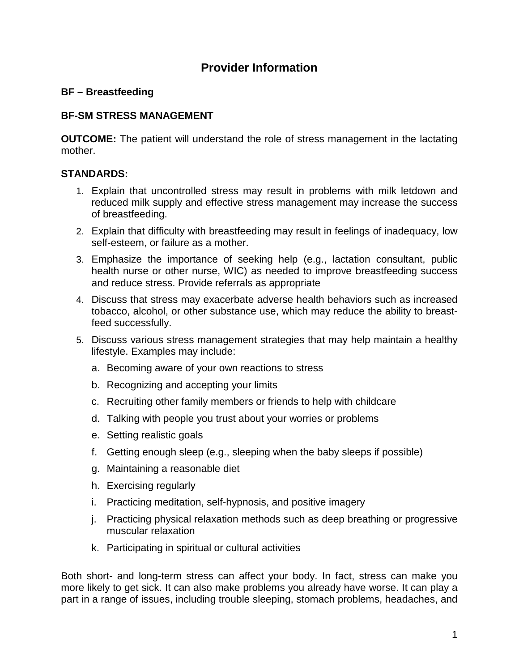# **Provider Information**

### **BF – Breastfeeding**

## **BF-SM STRESS MANAGEMENT**

**OUTCOME:** The patient will understand the role of stress management in the lactating mother.

### **STANDARDS:**

- 1. Explain that uncontrolled stress may result in problems with milk letdown and reduced milk supply and effective stress management may increase the success of breastfeeding.
- 2. Explain that difficulty with breastfeeding may result in feelings of inadequacy, low self-esteem, or failure as a mother.
- 3. Emphasize the importance of seeking help (e.g., lactation consultant, public health nurse or other nurse, WIC) as needed to improve breastfeeding success and reduce stress. Provide referrals as appropriate
- 4. Discuss that stress may exacerbate adverse health behaviors such as increased tobacco, alcohol, or other substance use, which may reduce the ability to breastfeed successfully.
- 5. Discuss various stress management strategies that may help maintain a healthy lifestyle. Examples may include:
	- a. Becoming aware of your own reactions to stress
	- b. Recognizing and accepting your limits
	- c. Recruiting other family members or friends to help with childcare
	- d. Talking with people you trust about your worries or problems
	- e. Setting realistic goals
	- f. Getting enough sleep (e.g., sleeping when the baby sleeps if possible)
	- g. Maintaining a reasonable diet
	- h. Exercising regularly
	- i. Practicing meditation, self-hypnosis, and positive imagery
	- j. Practicing physical relaxation methods such as deep breathing or progressive muscular relaxation
	- k. Participating in spiritual or cultural activities

Both short- and long-term stress can affect your body. In fact, stress can make you more likely to get sick. It can also make problems you already have worse. It can play a part in a range of issues, including trouble sleeping, stomach problems, headaches, and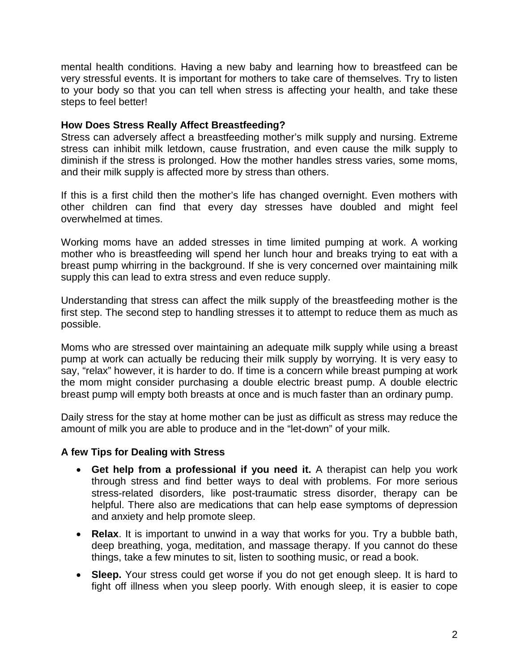mental health conditions. Having a new baby and learning how to breastfeed can be very stressful events. It is important for mothers to take care of themselves. Try to listen to your body so that you can tell when stress is affecting your health, and take these steps to feel better!

#### **How Does Stress Really Affect Breastfeeding?**

Stress can adversely affect a breastfeeding mother's milk supply and nursing. Extreme stress can inhibit milk letdown, cause frustration, and even cause the milk supply to diminish if the stress is prolonged. How the mother handles stress varies, some moms, and their milk supply is affected more by stress than others.

If this is a first child then the mother's life has changed overnight. Even mothers with other children can find that every day stresses have doubled and might feel overwhelmed at times.

Working moms have an added stresses in time limited pumping at work. A working mother who is breastfeeding will spend her lunch hour and breaks trying to eat with a breast pump whirring in the background. If she is very concerned over maintaining milk supply this can lead to extra stress and even reduce supply.

Understanding that stress can affect the milk supply of the breastfeeding mother is the first step. The second step to handling stresses it to attempt to reduce them as much as possible.

Moms who are stressed over maintaining an adequate milk supply while using a breast pump at work can actually be reducing their milk supply by worrying. It is very easy to say, "relax" however, it is harder to do. If time is a concern while breast pumping at work the mom might consider purchasing a double electric breast pump. A double electric breast pump will empty both breasts at once and is much faster than an ordinary pump.

Daily stress for the stay at home mother can be just as difficult as stress may reduce the amount of milk you are able to produce and in the "let-down" of your milk.

#### **A few Tips for Dealing with Stress**

- **Get help from a professional if you need it.** A therapist can help you work through stress and find better ways to deal with problems. For more serious stress-related disorders, like post-traumatic stress disorder, therapy can be helpful. There also are medications that can help ease symptoms of depression and anxiety and help promote sleep.
- **Relax**. It is important to unwind in a way that works for you. Try a bubble bath, deep breathing, yoga, meditation, and massage therapy. If you cannot do these things, take a few minutes to sit, listen to soothing music, or read a book.
- **Sleep.** Your stress could get worse if you do not get enough sleep. It is hard to fight off illness when you sleep poorly. With enough sleep, it is easier to cope